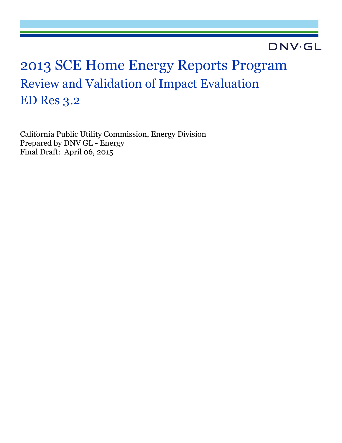## **DNV·GL**

# 2013 SCE Home Energy Reports Program Review and Validation of Impact Evaluation ED Res 3.2

California Public Utility Commission, Energy Division Prepared by DNV GL - Energy Final Draft: April 06, 2015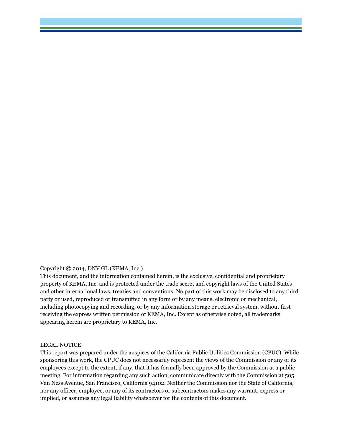#### Copyright © 2014, DNV GL (KEMA, Inc.)

This document, and the information contained herein, is the exclusive, confidential and proprietary property of KEMA, Inc. and is protected under the trade secret and copyright laws of the United States and other international laws, treaties and conventions. No part of this work may be disclosed to any third party or used, reproduced or transmitted in any form or by any means, electronic or mechanical, including photocopying and recording, or by any information storage or retrieval system, without first receiving the express written permission of KEMA, Inc. Except as otherwise noted, all trademarks appearing herein are proprietary to KEMA, Inc.

#### LEGAL NOTICE

This report was prepared under the auspices of the California Public Utilities Commission (CPUC). While sponsoring this work, the CPUC does not necessarily represent the views of the Commission or any of its employees except to the extent, if any, that it has formally been approved by the Commission at a public meeting. For information regarding any such action, communicate directly with the Commission at 505 Van Ness Avenue, San Francisco, California 94102. Neither the Commission nor the State of California, nor any officer, employee, or any of its contractors or subcontractors makes any warrant, express or implied, or assumes any legal liability whatsoever for the contents of this document.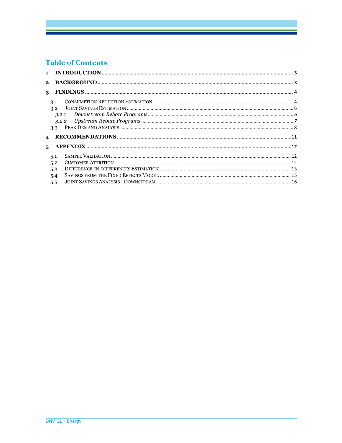## **Table of Contents**

| $\blacksquare$ |                                                  |  |
|----------------|--------------------------------------------------|--|
| $\mathbf{2}$   |                                                  |  |
| 3              |                                                  |  |
|                | 3.1<br>3.2<br>3.2.1<br>3.2.2<br>3.3 <sub>1</sub> |  |
|                |                                                  |  |
| 5              |                                                  |  |
|                | 5.1<br>5.2<br>5.3<br>5.4<br>5.5                  |  |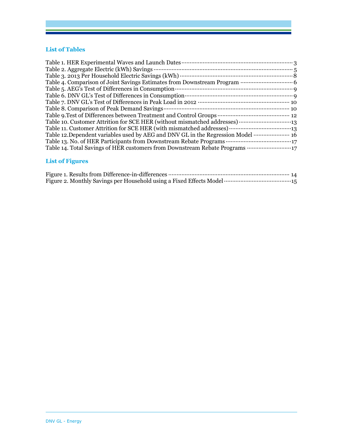#### **List of Tables**

## **List of Figures**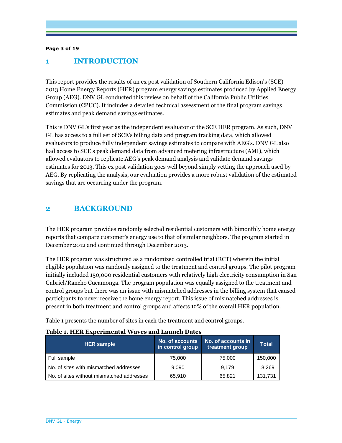#### **Page 3 of 19**

## **1 INTRODUCTION**

This report provides the results of an ex post validation of Southern California Edison's (SCE) 2013 Home Energy Reports (HER) program energy savings estimates produced by Applied Energy Group (AEG). DNV GL conducted this review on behalf of the California Public Utilities Commission (CPUC). It includes a detailed technical assessment of the final program savings estimates and peak demand savings estimates.

This is DNV GL's first year as the independent evaluator of the SCE HER program. As such, DNV GL has access to a full set of SCE's billing data and program tracking data, which allowed evaluators to produce fully independent savings estimates to compare with AEG's. DNV GL also had access to SCE's peak demand data from advanced metering infrastructure (AMI), which allowed evaluators to replicate AEG's peak demand analysis and validate demand savings estimates for 2013. This ex post validation goes well beyond simply vetting the approach used by AEG. By replicating the analysis, our evaluation provides a more robust validation of the estimated savings that are occurring under the program.

## **2 BACKGROUND**

The HER program provides randomly selected residential customers with bimonthly home energy reports that compare customer's energy use to that of similar neighbors. The program started in December 2012 and continued through December 2013.

The HER program was structured as a randomized controlled trial (RCT) wherein the initial eligible population was randomly assigned to the treatment and control groups. The pilot program initially included 150,000 residential customers with relatively high electricity consumption in San Gabriel/Rancho Cucamonga. The program population was equally assigned to the treatment and control groups but there was an issue with mismatched addresses in the billing system that caused participants to never receive the home energy report. This issue of mismatched addresses is present in both treatment and control groups and affects 12% of the overall HER population.

Table 1 presents the number of sites in each the treatment and control groups.

| <b>HER</b> sample                         | No. of accounts<br>in control group | No. of accounts in<br>treatment group | <b>Total</b> |
|-------------------------------------------|-------------------------------------|---------------------------------------|--------------|
| Full sample                               | 75,000                              | 75,000                                | 150,000      |
| No. of sites with mismatched addresses    | 9.090                               | 9.179                                 | 18,269       |
| No. of sites without mismatched addresses | 65,910                              | 65.821                                | 131,731      |

#### **Table 1. HER Experimental Waves and Launch Dates**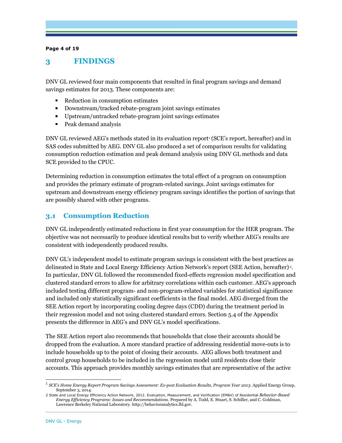#### **Page 4 of 19**

## **3 FINDINGS**

DNV GL reviewed four main components that resulted in final program savings and demand savings estimates for 2013. These components are:

- Reduction in consumption estimates
- Downstream/tracked rebate-program joint savings estimates
- Upstream/untracked rebate-program joint savings estimates
- Peak demand analysis

DNV GL reviewed AEG's methods stated in its evaluation report<sup>,</sup> (SCE's report, hereafter) and in SAS codes submitted by AEG. DNV GL also produced a set of comparison results for validating consumption reduction estimation and peak demand analysis using DNV GL methods and data SCE provided to the CPUC.

Determining reduction in consumption estimates the total effect of a program on consumption and provides the primary estimate of program-related savings. Joint savings estimates for upstream and downstream energy efficiency program savings identifies the portion of savings that are possibly shared with other programs.

## **3.1 Consumption Reduction**

DNV GL independently estimated reductions in first year consumption for the HER program. The objective was not necessarily to produce identical results but to verify whether AEG's results are consistent with independently produced results.

DNV GL's independent model to estimate program savings is consistent with the best practices as delineated in State and Local Energy Efficiency Action Network's report (SEE Action, hereafter) $^2$ . In particular, DNV GL followed the recommended fixed-effects regression model specification and clustered standard errors to allow for arbitrary correlations within each customer. AEG's approach included testing different program- and non-program-related variables for statistical significance and included only statistically significant coefficients in the final model. AEG diverged from the SEE Action report by incorporating cooling degree days (CDD) during the treatment period in their regression model and not using clustered standard errors. Section 5.4 of the Appendix presents the difference in AEG's and DNV GL's model specifications.

The SEE Action report also recommends that households that close their accounts should be dropped from the evaluation. A more standard practice of addressing residential move-outs is to include households up to the point of closing their accounts. AEG allows both treatment and control group households to be included in the regression model until residents close their accounts. This approach provides monthly savings estimates that are representative of the active

 1 *SCE's Home Energy Report Program Savings Assessment: Ex-post Evaluation Results, Program Year 2013*. Applied Energy Group, September 3, 2014.

<sup>2</sup> State and Local Energy Efficiency Action Network, 2012. Evaluation, Measurement, and Verification (EM&V) of Residential *Behavior-Based Energy Efficiency Programs: Issues and Recommendations*. Prepared by A. Todd, E. Stuart, S. Schiller, and C. Goldman, Lawrence Berkeley National Laboratory. http://behavioranalytics.lbl.gov.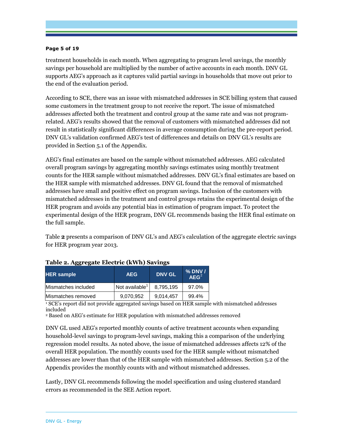#### **Page 5 of 19**

treatment households in each month. When aggregating to program level savings, the monthly savings per household are multiplied by the number of active accounts in each month. DNV GL supports AEG's approach as it captures valid partial savings in households that move out prior to the end of the evaluation period.

According to SCE, there was an issue with mismatched addresses in SCE billing system that caused some customers in the treatment group to not receive the report. The issue of mismatched addresses affected both the treatment and control group at the same rate and was not programrelated. AEG's results showed that the removal of customers with mismatched addresses did not result in statistically significant differences in average consumption during the pre-report period. DNV GL's validation confirmed AEG's test of differences and details on DNV GL's results are provided in Section 5.1 of the Appendix.

AEG's final estimates are based on the sample without mismatched addresses. AEG calculated overall program savings by aggregating monthly savings estimates using monthly treatment counts for the HER sample without mismatched addresses. DNV GL's final estimates are based on the HER sample with mismatched addresses. DNV GL found that the removal of mismatched addresses have small and positive effect on program savings. Inclusion of the customers with mismatched addresses in the treatment and control groups retains the experimental design of the HER program and avoids any potential bias in estimation of program impact. To protect the experimental design of the HER program, DNV GL recommends basing the HER final estimate on the full sample.

Table **2** presents a comparison of DNV GL's and AEG's calculation of the aggregate electric savings for HER program year 2013.

| <b>HER</b> sample   | <b>AEG</b>                 | <b>DNV GL</b> | $%$ DNV $/$<br>AEG <sup>2</sup> |
|---------------------|----------------------------|---------------|---------------------------------|
| Mismatches included | Not available <sup>1</sup> | 8.795.195     | 97.0%                           |
| Mismatches removed  | 9,070,952                  | 9,014,457     | 99.4%                           |

#### **Table 2. Aggregate Electric (kWh) Savings**

1 SCE's report did not provide aggregated savings based on HER sample with mismatched addresses included

<sup>2</sup> Based on AEG's estimate for HER population with mismatched addresses removed

DNV GL used AEG's reported monthly counts of active treatment accounts when expanding household-level savings to program-level savings, making this a comparison of the underlying regression model results. As noted above, the issue of mismatched addresses affects 12% of the overall HER population. The monthly counts used for the HER sample without mismatched addresses are lower than that of the HER sample with mismatched addresses. Section 5.2 of the Appendix provides the monthly counts with and without mismatched addresses.

Lastly, DNV GL recommends following the model specification and using clustered standard errors as recommended in the SEE Action report.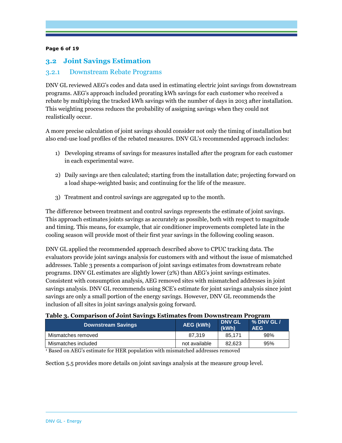#### **Page 6 of 19**

## **3.2 Joint Savings Estimation**

### 3.2.1 Downstream Rebate Programs

DNV GL reviewed AEG's codes and data used in estimating electric joint savings from downstream programs. AEG's approach included prorating kWh savings for each customer who received a rebate by multiplying the tracked kWh savings with the number of days in 2013 after installation. This weighting process reduces the probability of assigning savings when they could not realistically occur.

A more precise calculation of joint savings should consider not only the timing of installation but also end-use load profiles of the rebated measures. DNV GL's recommended approach includes:

- 1) Developing streams of savings for measures installed after the program for each customer in each experimental wave.
- 2) Daily savings are then calculated; starting from the installation date; projecting forward on a load shape-weighted basis; and continuing for the life of the measure.
- 3) Treatment and control savings are aggregated up to the month.

The difference between treatment and control savings represents the estimate of joint savings. This approach estimates joints savings as accurately as possible, both with respect to magnitude and timing. This means, for example, that air conditioner improvements completed late in the cooling season will provide most of their first year savings in the following cooling season.

DNV GL applied the recommended approach described above to CPUC tracking data. The evaluators provide joint savings analysis for customers with and without the issue of mismatched addresses. Table 3 presents a comparison of joint savings estimates from downstream rebate programs. DNV GL estimates are slightly lower (2%) than AEG's joint savings estimates. Consistent with consumption analysis, AEG removed sites with mismatched addresses in joint savings analysis. DNV GL recommends using SCE's estimate for joint savings analysis since joint savings are only a small portion of the energy savings. However, DNV GL recommends the inclusion of all sites in joint savings analysis going forward.

#### **Table 3. Comparison of Joint Savings Estimates from Downstream Program**

| <b>Downstream Savings</b> | AEG (kWh)     | <b>DNV GL</b><br>(kWh) | % DNV GL /<br><b>AEG</b> |
|---------------------------|---------------|------------------------|--------------------------|
| Mismatches removed        | 87.319        | 85.171                 | 98%                      |
| Mismatches included       | not available | 82.623                 | 95%                      |

1 Based on AEG's estimate for HER population with mismatched addresses removed

Section 5.5 provides more details on joint savings analysis at the measure group level.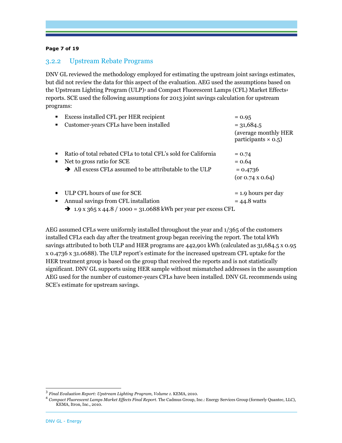#### **Page 7 of 19**

#### 3.2.2 Upstream Rebate Programs

DNV GL reviewed the methodology employed for estimating the upstream joint savings estimates, but did not review the data for this aspect of the evaluation. AEG used the assumptions based on the Upstream Lighting Program (ULP)<sup>3</sup> and Compact Fluorescent Lamps (CFL) Market Effects<sup>4</sup> reports. SCE used the following assumptions for 2013 joint savings calculation for upstream programs:

|                | Excess installed CFL per HER recipient                                      | $= 0.95$                                                            |
|----------------|-----------------------------------------------------------------------------|---------------------------------------------------------------------|
|                | Customer-years CFLs have been installed                                     | $= 31,684.5$<br>(average monthly HER)<br>participants $\times$ 0.5) |
| $\blacksquare$ | Ratio of total rebated CFLs to total CFL's sold for California              | $= 0.74$                                                            |
| п              | Net to gross ratio for SCE                                                  | $= 0.64$                                                            |
|                | $\rightarrow$ All excess CFLs assumed to be attributable to the ULP         | $= 0.4736$                                                          |
|                |                                                                             | $(or 0.74 \times 0.64)$                                             |
| ٠              | ULP CFL hours of use for SCE                                                | $= 1.9$ hours per day                                               |
| п              | Annual savings from CFL installation                                        | $= 44.8$ watts                                                      |
|                | $\rightarrow$ 1.9 x 365 x 44.8 / 1000 = 31.0688 kWh per year per excess CFL |                                                                     |

AEG assumed CFLs were uniformly installed throughout the year and 1/365 of the customers installed CFLs each day after the treatment group began receiving the report. The total kWh savings attributed to both ULP and HER programs are 442,901 kWh (calculated as 31,684.5 x 0.95 x 0.4736 x 31.0688). The ULP report's estimate for the increased upstream CFL uptake for the HER treatment group is based on the group that received the reports and is not statistically significant. DNV GL supports using HER sample without mismatched addresses in the assumption AEG used for the number of customer-years CFLs have been installed. DNV GL recommends using SCE's estimate for upstream savings.

 3 *Final Evaluation Report: Upstream Lighting Program, Volume 1.* KEMA, 2010.

<sup>4</sup> *Compact Fluorescent Lamps Market Effects Final Report*. The Cadmus Group, Inc.: Energy Services Group (formerly Quantec, LLC), KEMA, Itron, Inc., 2010.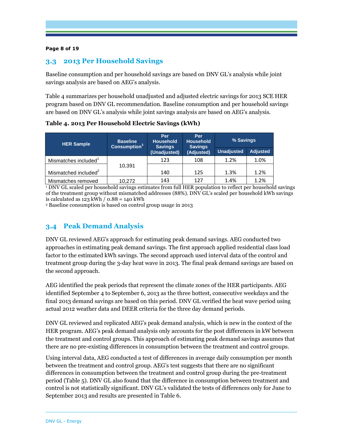#### **Page 8 of 19**

## **3.3 2013 Per Household Savings**

Baseline consumption and per household savings are based on DNV GL's analysis while joint savings analysis are based on AEG's analysis.

Table 4 summarizes per household unadjusted and adjusted electric savings for 2013 SCE HER program based on DNV GL recommendation. Baseline consumption and per household savings are based on DNV GL's analysis while joint savings analysis are based on AEG's analysis.

**HER Sample Baseline Consumption<sup>3</sup> Per Household Savings (Unadjusted) Per Household Savings (Adjusted) % Savings Unadjusted Adjusted**  Mismatches included<sup>1</sup> 10,391 123 108 1.2% 1.0% Mismatched included $2$ | 140 | 125 | 1.3% | 1.2% Mismatches removed 10,272 143 127 1.4% 1.2%

**Table 4. 2013 Per Household Electric Savings (kWh)**

1 DNV GL scaled per household savings estimates from full HER population to reflect per household savings of the treatment group without mismatched addresses (88%). DNV GL's scaled per household kWh savings is calculated as  $123$  kWh  $\prime$  0.88 = 140 kWh

<sup>2</sup> Baseline consumption is based on control group usage in 2013

## **3.4 Peak Demand Analysis**

DNV GL reviewed AEG's approach for estimating peak demand savings. AEG conducted two approaches in estimating peak demand savings. The first approach applied residential class load factor to the estimated kWh savings. The second approach used interval data of the control and treatment group during the 3-day heat wave in 2013. The final peak demand savings are based on the second approach.

AEG identified the peak periods that represent the climate zones of the HER participants. AEG identified September 4 to September 6, 2013 as the three hottest, consecutive weekdays and the final 2013 demand savings are based on this period. DNV GL verified the heat wave period using actual 2012 weather data and DEER criteria for the three day demand periods.

DNV GL reviewed and replicated AEG's peak demand analysis, which is new in the context of the HER program. AEG's peak demand analysis only accounts for the post differences in kW between the treatment and control groups. This approach of estimating peak demand savings assumes that there are no pre-existing differences in consumption between the treatment and control groups.

Using interval data, AEG conducted a test of differences in average daily consumption per month between the treatment and control group. AEG's test suggests that there are no significant differences in consumption between the treatment and control group during the pre-treatment period (Table 5). DNV GL also found that the difference in consumption between treatment and control is not statistically significant. DNV GL's validated the tests of differences only for June to September 2013 and results are presented in Table 6.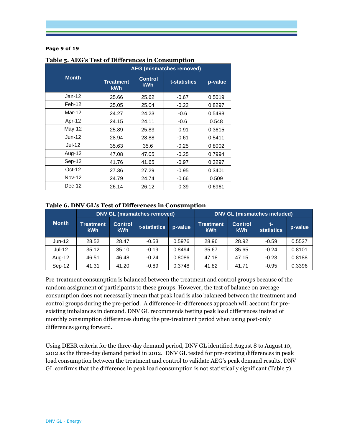#### **Page 9 of 19**

|               |                                |                              | <b>AEG (mismatches removed)</b> |         |
|---------------|--------------------------------|------------------------------|---------------------------------|---------|
| <b>Month</b>  | <b>Treatment</b><br><b>kWh</b> | <b>Control</b><br><b>kWh</b> | t-statistics                    | p-value |
| $Jan-12$      | 25.66                          | 25.62                        | $-0.67$                         | 0.5019  |
| $Feb-12$      | 25.05                          | 25.04                        | $-0.22$                         | 0.8297  |
| Mar-12        | 24.27                          | 24.23                        | $-0.6$                          | 0.5498  |
| Apr-12        | 24.15                          | 24.11                        | $-0.6$                          | 0.548   |
| May-12        | 25.89                          | 25.83                        | $-0.91$                         | 0.3615  |
| $Jun-12$      | 28.94                          | 28.88                        | $-0.61$                         | 0.5411  |
| Jul-12        | 35.63                          | 35.6                         | $-0.25$                         | 0.8002  |
| Aug-12        | 47.08                          | 47.05                        | $-0.25$                         | 0.7994  |
| Sep-12        | 41.76                          | 41.65                        | $-0.97$                         | 0.3297  |
| Oct-12        | 27.36                          | 27.29                        | $-0.95$                         | 0.3401  |
| <b>Nov-12</b> | 24.79                          | 24.74                        | $-0.66$                         | 0.509   |
| $Dec-12$      | 26.14                          | 26.12                        | $-0.39$                         | 0.6961  |

#### **Table 5. AEG's Test of Differences in Consumption**

#### **Table 6. DNV GL's Test of Differences in Consumption**

|              |                                | <b>DNV GL (mismatches removed)</b> | <b>DNV GL (mismatches included)</b> |         |                                |                              |                         |         |
|--------------|--------------------------------|------------------------------------|-------------------------------------|---------|--------------------------------|------------------------------|-------------------------|---------|
| <b>Month</b> | <b>Treatment</b><br><b>kWh</b> | <b>Control</b><br><b>kWh</b>       | t-statistics                        | p-value | <b>Treatment</b><br><b>kWh</b> | <b>Control</b><br><b>kWh</b> | t-<br><b>statistics</b> | p-value |
| $Jun-12$     | 28.52                          | 28.47                              | $-0.53$                             | 0.5976  | 28.96                          | 28.92                        | $-0.59$                 | 0.5527  |
| $Jul-12$     | 35.12                          | 35.10                              | $-0.19$                             | 0.8494  | 35.67                          | 35.65                        | $-0.24$                 | 0.8101  |
| Aug-12       | 46.51                          | 46.48                              | $-0.24$                             | 0.8086  | 47.18                          | 47.15                        | $-0.23$                 | 0.8188  |
| Sep-12       | 41.31                          | 41.20                              | $-0.89$                             | 0.3748  | 41.82                          | 41.71                        | $-0.95$                 | 0.3396  |

Pre-treatment consumption is balanced between the treatment and control groups because of the random assignment of participants to these groups. However, the test of balance on average consumption does not necessarily mean that peak load is also balanced between the treatment and control groups during the pre-period. A difference-in-differences approach will account for preexisting imbalances in demand. DNV GL recommends testing peak load differences instead of monthly consumption differences during the pre-treatment period when using post-only differences going forward.

Using DEER criteria for the three-day demand period, DNV GL identified August 8 to August 10, 2012 as the three-day demand period in 2012. DNV GL tested for pre-existing differences in peak load consumption between the treatment and control to validate AEG's peak demand results. DNV GL confirms that the difference in peak load consumption is not statistically significant (Table 7)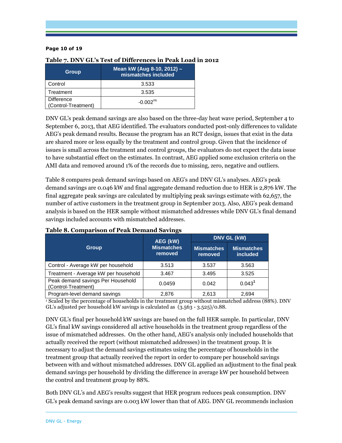#### **Page 10 of 19**

| <b>Group</b>                             | Mean kW (Aug 8-10, 2012) -<br>mismatches included |
|------------------------------------------|---------------------------------------------------|
| Control                                  | 3.533                                             |
| Treatment                                | 3.535                                             |
| <b>Difference</b><br>(Control-Treatment) | $-0.002ns$                                        |

#### **Table 7. DNV GL's Test of Differences in Peak Load in 2012**

DNV GL's peak demand savings are also based on the three-day heat wave period, September 4 to September 6, 2013, that AEG identified. The evaluators conducted post-only differences to validate AEG's peak demand results. Because the program has an RCT design, issues that exist in the data are shared more or less equally by the treatment and control group. Given that the incidence of issues is small across the treatment and control groups, the evaluators do not expect the data issue to have substantial effect on the estimates. In contrast, AEG applied some exclusion criteria on the AMI data and removed around 1% of the records due to missing, zero, negative and outliers.

Table 8 compares peak demand savings based on AEG's and DNV GL's analyses. AEG's peak demand savings are 0.046 kW and final aggregate demand reduction due to HER is 2,876 kW. The final aggregate peak savings are calculated by multiplying peak savings estimate with 62,657, the number of active customers in the treatment group in September 2013. Also, AEG's peak demand analysis is based on the HER sample without mismatched addresses while DNV GL's final demand savings included accounts with mismatched addresses.

|                                                          | AEG (kW)                     | DNV GL (kW)                  |                                      |  |
|----------------------------------------------------------|------------------------------|------------------------------|--------------------------------------|--|
| <b>Group</b>                                             | <b>Mismatches</b><br>removed | <b>Mismatches</b><br>removed | <b>Mismatches</b><br><i>included</i> |  |
| Control - Average kW per household                       | 3.513                        | 3.537                        | 3.563                                |  |
| Treatment - Average kW per household                     | 3.467                        | 3.495                        | 3.525                                |  |
| Peak demand savings Per Household<br>(Control-Treatment) | 0.0459                       | 0.042                        | 0.043 <sup>1</sup>                   |  |
| Program-level demand savings                             | 2,876                        | 2,613                        | 2,694                                |  |

## **Table 8. Comparison of Peak Demand Savings**

1 Scaled by the percentage of households in the treatment group without mismatched address (88%). DNV GL's adjusted per household kW savings is calculated as (3.563 - 3.525)/0.88.

DNV GL's final per household kW savings are based on the full HER sample. In particular, DNV GL's final kW savings considered all active households in the treatment group regardless of the issue of mismatched addresses. On the other hand, AEG's analysis only included households that actually received the report (without mismatched addresses) in the treatment group. It is necessary to adjust the demand savings estimates using the percentage of households in the treatment group that actually received the report in order to compare per household savings between with and without mismatched addresses. DNV GL applied an adjustment to the final peak demand savings per household by dividing the difference in average kW per household between the control and treatment group by 88%.

Both DNV GL's and AEG's results suggest that HER program reduces peak consumption. DNV GL's peak demand savings are 0.003 kW lower than that of AEG. DNV GL recommends inclusion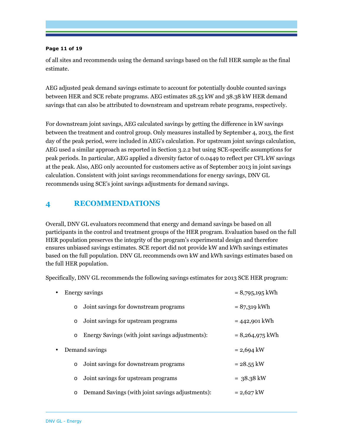#### **Page 11 of 19**

of all sites and recommends using the demand savings based on the full HER sample as the final estimate.

AEG adjusted peak demand savings estimate to account for potentially double counted savings between HER and SCE rebate programs. AEG estimates 28.55 kW and 38.38 kW HER demand savings that can also be attributed to downstream and upstream rebate programs, respectively.

For downstream joint savings, AEG calculated savings by getting the difference in kW savings between the treatment and control group. Only measures installed by September 4, 2013, the first day of the peak period, were included in AEG's calculation. For upstream joint savings calculation, AEG used a similar approach as reported in Section 3.2.2 but using SCE-specific assumptions for peak periods. In particular, AEG applied a diversity factor of 0.0449 to reflect per CFL kW savings at the peak. Also, AEG only accounted for customers active as of September 2013 in joint savings calculation. Consistent with joint savings recommendations for energy savings, DNV GL recommends using SCE's joint savings adjustments for demand savings.

## **4 RECOMMENDATIONS**

Overall, DNV GL evaluators recommend that energy and demand savings be based on all participants in the control and treatment groups of the HER program. Evaluation based on the full HER population preserves the integrity of the program's experimental design and therefore ensures unbiased savings estimates. SCE report did not provide kW and kWh savings estimates based on the full population. DNV GL recommends own kW and kWh savings estimates based on the full HER population.

Specifically, DNV GL recommends the following savings estimates for 2013 SCE HER program:

| $\bullet$ |          | Energy savings                                   | $= 8,795,195$ kWh    |
|-----------|----------|--------------------------------------------------|----------------------|
|           | $\Omega$ | Joint savings for downstream programs            | $= 87,319$ kWh       |
|           | $\circ$  | Joint savings for upstream programs              | $= 442,901$ kWh      |
|           | $\circ$  | Energy Savings (with joint savings adjustments): | $= 8,264,975$ kWh    |
| $\bullet$ |          | Demand savings                                   | $= 2,694$ kW         |
|           | $\circ$  | Joint savings for downstream programs            | $= 28.55$ kW         |
|           | $\circ$  | Joint savings for upstream programs              | $= 38.38 \text{ kW}$ |
|           | $\circ$  | Demand Savings (with joint savings adjustments): | $= 2,627$ kW         |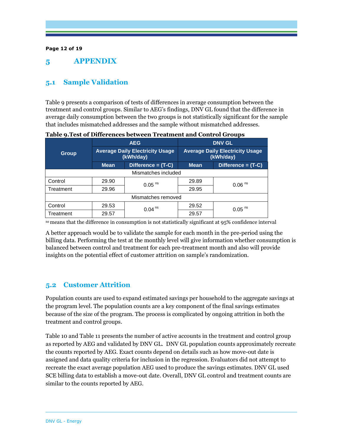#### **Page 12 of 19**

## **5 APPENDIX**

## **5.1 Sample Validation**

Table 9 presents a comparison of tests of differences in average consumption between the treatment and control groups. Similar to AEG's findings, DNV GL found that the difference in average daily consumption between the two groups is not statistically significant for the sample that includes mismatched addresses and the sample without mismatched addresses.

|                     |       | <b>AEG</b>                                          | <b>DNV GL</b><br><b>Average Daily Electricity Usage</b><br>(kWh/day) |                      |  |  |  |  |
|---------------------|-------|-----------------------------------------------------|----------------------------------------------------------------------|----------------------|--|--|--|--|
| <b>Group</b>        |       | <b>Average Daily Electricity Usage</b><br>(kWh/day) |                                                                      |                      |  |  |  |  |
|                     | Mean  | Difference = (T-C)                                  | <b>Mean</b>                                                          | Difference = (T-C)   |  |  |  |  |
| Mismatches included |       |                                                     |                                                                      |                      |  |  |  |  |
| Control             | 29.90 | $0.05$ <sup>ns</sup>                                | 29.89                                                                | $0.06$ <sup>ns</sup> |  |  |  |  |
| Treatment           | 29.96 |                                                     | 29.95                                                                |                      |  |  |  |  |
| Mismatches removed  |       |                                                     |                                                                      |                      |  |  |  |  |
| Control             | 29.53 | $0.04$ <sup>ns</sup>                                | 29.52                                                                | $0.05$ <sup>ns</sup> |  |  |  |  |
| Treatment           | 29.57 |                                                     | 29.57                                                                |                      |  |  |  |  |

**Table 9.Test of Differences between Treatment and Control Groups** 

ns means that the difference in consumption is not statistically significant at 95% confidence interval

A better approach would be to validate the sample for each month in the pre-period using the billing data. Performing the test at the monthly level will give information whether consumption is balanced between control and treatment for each pre-treatment month and also will provide insights on the potential effect of customer attrition on sample's randomization.

## **5.2 Customer Attrition**

Population counts are used to expand estimated savings per household to the aggregate savings at the program level. The population counts are a key component of the final savings estimates because of the size of the program. The process is complicated by ongoing attrition in both the treatment and control groups.

Table 10 and Table 11 presents the number of active accounts in the treatment and control group as reported by AEG and validated by DNV GL. DNV GL population counts approximately recreate the counts reported by AEG. Exact counts depend on details such as how move-out date is assigned and data quality criteria for inclusion in the regression. Evaluators did not attempt to recreate the exact average population AEG used to produce the savings estimates. DNV GL used SCE billing data to establish a move-out date. Overall, DNV GL control and treatment counts are similar to the counts reported by AEG.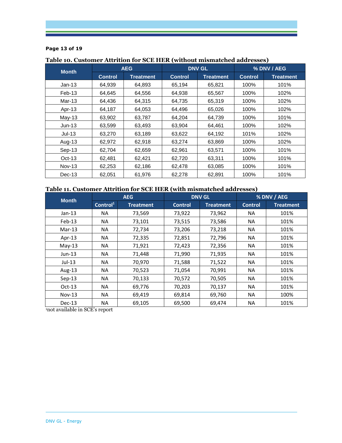#### **Page 13 of 19**

| <b>Month</b>  | <b>AEG</b>     |                  |                | <b>DNV GL</b>    | % DNV / AEG    |                  |  |
|---------------|----------------|------------------|----------------|------------------|----------------|------------------|--|
|               | <b>Control</b> | <b>Treatment</b> | <b>Control</b> | <b>Treatment</b> | <b>Control</b> | <b>Treatment</b> |  |
| $Jan-13$      | 64,939         | 64,893           | 65,194         | 65,821           | 100%           | 101%             |  |
| $Feb-13$      | 64,645         | 64,556           | 64,938         | 65,567           | 100%           | 102%             |  |
| $Mar-13$      | 64,436         | 64,315           | 64,735         | 65,319           | 100%           | 102%             |  |
| Apr-13        | 64,187         | 64,053           | 64,496         | 65,026           | 100%           | 102%             |  |
| May-13        | 63,902         | 63,787           | 64,204         | 64,739           | 100%           | 101%             |  |
| $Jun-13$      | 63,599         | 63,493           | 63,904         | 64,461           | 100%           | 102%             |  |
| $Jul-13$      | 63.270         | 63,189           | 63,622         | 64,192           | 101%           | 102%             |  |
| Aug-13        | 62,972         | 62,918           | 63,274         | 63,869           | 100%           | 102%             |  |
| $Sep-13$      | 62,704         | 62,659           | 62,961         | 63,571           | 100%           | 101%             |  |
| $Oct-13$      | 62,481         | 62,421           | 62,720         | 63,311           | 100%           | 101%             |  |
| <b>Nov-13</b> | 62,253         | 62,186           | 62,478         | 63,085           | 100%           | 101%             |  |
| $Dec-13$      | 62,051         | 61,976           | 62,278         | 62,891           | 100%           | 101%             |  |

## **Table 10. Customer Attrition for SCE HER (without mismatched addresses)**

## **Table 11. Customer Attrition for SCE HER (with mismatched addresses)**

| <b>Month</b> | <b>AEG</b>           |                  |                | <b>DNV GL</b>    | % DNV / AEG    |                  |  |
|--------------|----------------------|------------------|----------------|------------------|----------------|------------------|--|
|              | Control <sup>1</sup> | <b>Treatment</b> | <b>Control</b> | <b>Treatment</b> | <b>Control</b> | <b>Treatment</b> |  |
| $Jan-13$     | NA.                  | 73,569           | 73,922         | 73,962           | <b>NA</b>      | 101%             |  |
| Feb-13       | ΝA                   | 73,101           | 73,515         | 73,586           | NA             | 101%             |  |
| $Mar-13$     | NA.                  | 72,734           | 73,206         | 73,218           | <b>NA</b>      | 101%             |  |
| Apr-13       | NA.                  | 72,335           | 72,851         | 72,796           | <b>NA</b>      | 101%             |  |
| $May-13$     | ΝA                   | 71,921           | 72,423         | 72,356           | <b>NA</b>      | 101%             |  |
| $Jun-13$     | NA.                  | 71,448           | 71,990         | 71,935           | <b>NA</b>      | 101%             |  |
| $Jul-13$     | NA.                  | 70,970           | 71,588         | 71,522           | <b>NA</b>      | 101%             |  |
| Aug-13       | ΝA                   | 70,523           | 71,054         | 70,991           | NА             | 101%             |  |
| Sep-13       | NA.                  | 70,133           | 70,572         | 70,505           | <b>NA</b>      | 101%             |  |
| $Oct-13$     | <b>NA</b>            | 69,776           | 70,203         | 70,137           | <b>NA</b>      | 101%             |  |
| $Nov-13$     | ΝA                   | 69,419           | 69,814         | 69,760           | NА             | 100%             |  |
| $Dec-13$     | ΝA                   | 69,105           | 69,500         | 69,474           | <b>NA</b>      | 101%             |  |

<sup>1</sup>not available in SCE's report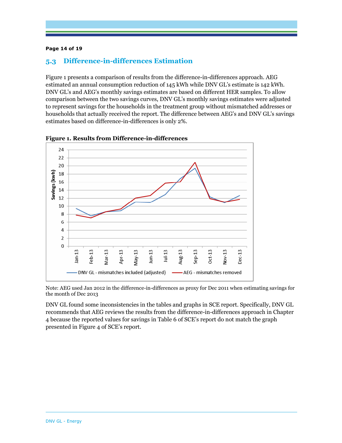#### **Page 14 of 19**

## **5.3 Difference-in-differences Estimation**

Figure 1 presents a comparison of results from the difference-in-differences approach. AEG estimated an annual consumption reduction of 145 kWh while DNV GL's estimate is 142 kWh. DNV GL's and AEG's monthly savings estimates are based on different HER samples. To allow comparison between the two savings curves, DNV GL's monthly savings estimates were adjusted to represent savings for the households in the treatment group without mismatched addresses or households that actually received the report. The difference between AEG's and DNV GL's savings estimates based on difference-in-differences is only 2%.



**Figure 1. Results from Difference-in-differences** 

Note: AEG used Jan 2012 in the difference-in-differences as proxy for Dec 2011 when estimating savings for the month of Dec 2013

DNV GL found some inconsistencies in the tables and graphs in SCE report. Specifically, DNV GL recommends that AEG reviews the results from the difference-in-differences approach in Chapter 4 because the reported values for savings in Table 6 of SCE's report do not match the graph presented in Figure 4 of SCE's report.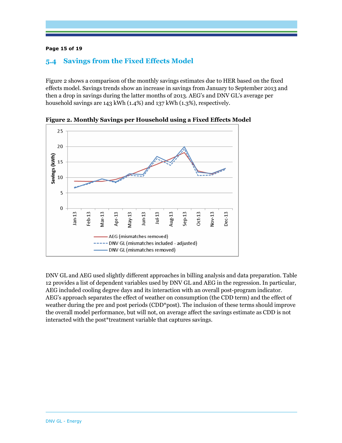#### **Page 15 of 19**

## **5.4 Savings from the Fixed Effects Model**

Figure 2 shows a comparison of the monthly savings estimates due to HER based on the fixed effects model. Savings trends show an increase in savings from January to September 2013 and then a drop in savings during the latter months of 2013. AEG's and DNV GL's average per household savings are 143 kWh (1.4%) and 137 kWh (1.3%), respectively.



**Figure 2. Monthly Savings per Household using a Fixed Effects Model** 

DNV GL and AEG used slightly different approaches in billing analysis and data preparation. Table 12 provides a list of dependent variables used by DNV GL and AEG in the regression. In particular, AEG included cooling degree days and its interaction with an overall post-program indicator. AEG's approach separates the effect of weather on consumption (the CDD term) and the effect of weather during the pre and post periods (CDD<sup>\*</sup>post). The inclusion of these terms should improve the overall model performance, but will not, on average affect the savings estimate as CDD is not interacted with the post\*treatment variable that captures savings.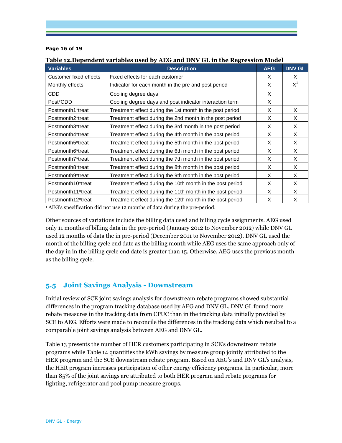#### **Page 16 of 19**

#### **Table 12.Dependent variables used by AEG and DNV GL in the Regression Model**

| <b>Variables</b>       | <b>Description</b>                                        | <b>AEG</b> | <b>DNV GL</b> |
|------------------------|-----------------------------------------------------------|------------|---------------|
| Customer fixed effects | Fixed effects for each customer                           | X          | X             |
| Monthly effects        | Indicator for each month in the pre and post period       | X          | $X^1$         |
| <b>CDD</b>             | Cooling degree days                                       | X          |               |
| Post*CDD               | Cooling degree days and post indicator interaction term   | X          |               |
| Postmonth1*treat       | Treatment effect during the 1st month in the post period  | X          | X             |
| Postmonth2*treat       | Treatment effect during the 2nd month in the post period  | X          | X             |
| Postmonth3*treat       | Treatment effect during the 3rd month in the post period  | X          | X             |
| Postmonth4*treat       | Treatment effect during the 4th month in the post period  | X          | X             |
| Postmonth5*treat       | Treatment effect during the 5th month in the post period  | X          | X             |
| Postmonth6*treat       | Treatment effect during the 6th month in the post period  | X          | X             |
| Postmonth7*treat       | Treatment effect during the 7th month in the post period  | X          | X             |
| Postmonth8*treat       | Treatment effect during the 8th month in the post period  | X          | X             |
| Postmonth9*treat       | Treatment effect during the 9th month in the post period  | X          | X             |
| Postmonth10*treat      | Treatment effect during the 10th month in the post period | X          | X             |
| Postmonth11*treat      | Treatment effect during the 11th month in the post period | X          | X             |
| Postmonth12*treat      | Treatment effect during the 12th month in the post period | X          | X             |

<sup>1</sup> AEG's specification did not use 12 months of data during the pre-period.

Other sources of variations include the billing data used and billing cycle assignments. AEG used only 11 months of billing data in the pre-period (January 2012 to November 2012) while DNV GL used 12 months of data the in pre-period (December 2011 to November 2012). DNV GL used the month of the billing cycle end date as the billing month while AEG uses the same approach only of the day in in the billing cycle end date is greater than 15. Otherwise, AEG uses the previous month as the billing cycle.

#### **5.5 Joint Savings Analysis - Downstream**

Initial review of SCE joint savings analysis for downstream rebate programs showed substantial differences in the program tracking database used by AEG and DNV GL. DNV GL found more rebate measures in the tracking data from CPUC than in the tracking data initially provided by SCE to AEG. Efforts were made to reconcile the differences in the tracking data which resulted to a comparable joint savings analysis between AEG and DNV GL.

Table 13 presents the number of HER customers participating in SCE's downstream rebate programs while Table 14 quantifies the kWh savings by measure group jointly attributed to the HER program and the SCE downstream rebate program. Based on AEG's and DNV GL's analysis, the HER program increases participation of other energy efficiency programs. In particular, more than 85% of the joint savings are attributed to both HER program and rebate programs for lighting, refrigerator and pool pump measure groups.